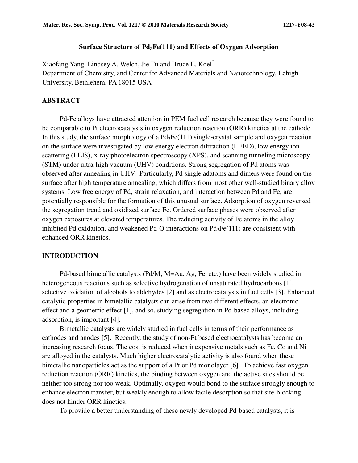### **Surface Structure of Pd3Fe(111) and Effects of Oxygen Adsorption**

Xiaofang Yang, Lindsey A. Welch, Jie Fu and Bruce E. Koel\* Department of Chemistry, and Center for Advanced Materials and Nanotechnology, Lehigh University, Bethlehem, PA 18015 USA

### **ABSTRACT**

Pd-Fe alloys have attracted attention in PEM fuel cell research because they were found to be comparable to Pt electrocatalysts in oxygen reduction reaction (ORR) kinetics at the cathode. In this study, the surface morphology of a  $Pd_3Fe(111)$  single-crystal sample and oxygen reaction on the surface were investigated by low energy electron diffraction (LEED), low energy ion scattering (LEIS), x-ray photoelectron spectroscopy (XPS), and scanning tunneling microscopy (STM) under ultra-high vacuum (UHV) conditions. Strong segregation of Pd atoms was observed after annealing in UHV. Particularly, Pd single adatoms and dimers were found on the surface after high temperature annealing, which differs from most other well-studied binary alloy systems. Low free energy of Pd, strain relaxation, and interaction between Pd and Fe, are potentially responsible for the formation of this unusual surface. Adsorption of oxygen reversed the segregation trend and oxidized surface Fe. Ordered surface phases were observed after oxygen exposures at elevated temperatures. The reducing activity of Fe atoms in the alloy inhibited Pd oxidation, and weakened Pd-O interactions on  $Pd_3Fe(111)$  are consistent with enhanced ORR kinetics.

### **INTRODUCTION**

Pd-based bimetallic catalysts (Pd/M, M=Au, Ag, Fe, etc.) have been widely studied in heterogeneous reactions such as selective hydrogenation of unsaturated hydrocarbons [1], selective oxidation of alcohols to aldehydes [2] and as electrocatalysts in fuel cells [3]. Enhanced catalytic properties in bimetallic catalysts can arise from two different effects, an electronic effect and a geometric effect [1], and so, studying segregation in Pd-based alloys, including adsorption, is important [4].

Bimetallic catalysts are widely studied in fuel cells in terms of their performance as cathodes and anodes [5]. Recently, the study of non-Pt based electrocatalysts has become an increasing research focus. The cost is reduced when inexpensive metals such as Fe, Co and Ni are alloyed in the catalysts. Much higher electrocatalytic activity is also found when these bimetallic nanoparticles act as the support of a Pt or Pd monolayer [6]. To achieve fast oxygen reduction reaction (ORR) kinetics, the binding between oxygen and the active sites should be neither too strong nor too weak. Optimally, oxygen would bond to the surface strongly enough to enhance electron transfer, but weakly enough to allow facile desorption so that site-blocking does not hinder ORR kinetics.

To provide a better understanding of these newly developed Pd-based catalysts, it is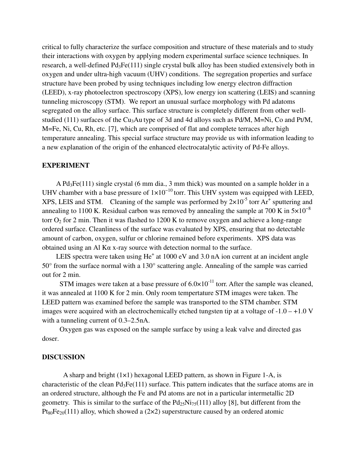critical to fully characterize the surface composition and structure of these materials and to study their interactions with oxygen by applying modern experimental surface science techniques. In research, a well-defined Pd<sub>3</sub>Fe(111) single crystal bulk alloy has been studied extensively both in oxygen and under ultra-high vacuum (UHV) conditions. The segregation properties and surface structure have been probed by using techniques including low energy electron diffraction (LEED), x-ray photoelectron spectroscopy (XPS), low energy ion scattering (LEIS) and scanning tunneling microscopy (STM). We report an unusual surface morphology with Pd adatoms segregated on the alloy surface. This surface structure is completely different from other wellstudied (111) surfaces of the Cu<sub>3</sub>Au type of 3d and 4d alloys such as Pd/M, M=Ni, Co and Pt/M, M=Fe, Ni, Cu, Rh, etc. [7], which are comprised of flat and complete terraces after high temperature annealing. This special surface structure may provide us with information leading to a new explanation of the origin of the enhanced electrocatalytic activity of Pd-Fe alloys.

### **EXPERIMENT**

A Pd3Fe(111) single crystal (6 mm dia., 3 mm thick) was mounted on a sample holder in a UHV chamber with a base pressure of  $1\times10^{-10}$  torr. This UHV system was equipped with LEED, XPS, LEIS and STM. Cleaning of the sample was performed by  $2 \times 10^{-5}$  torr Ar<sup>+</sup> sputtering and annealing to 1100 K. Residual carbon was removed by annealing the sample at 700 K in  $5\times10^{-8}$ torr  $O_2$  for 2 min. Then it was flashed to 1200 K to remove oxygen and achieve a long-range ordered surface. Cleanliness of the surface was evaluated by XPS, ensuring that no detectable amount of carbon, oxygen, sulfur or chlorine remained before experiments. XPS data was obtained using an Al Kα x-ray source with detection normal to the surface.

LEIS spectra were taken using  $He<sup>+</sup>$  at 1000 eV and 3.0 nA ion current at an incident angle 50° from the surface normal with a 130° scattering angle. Annealing of the sample was carried out for 2 min.

STM images were taken at a base pressure of  $6.0 \times 10^{-11}$  torr. After the sample was cleaned, it was annealed at 1100 K for 2 min. Only room tempertature STM images were taken. The LEED pattern was examined before the sample was transported to the STM chamber. STM images were acquired with an electrochemically etched tungsten tip at a voltage of  $-1.0 - +1.0$  V with a tunneling current of 0.3–2.5nA.

Oxygen gas was exposed on the sample surface by using a leak valve and directed gas doser.

# **DISCUSSION**

A sharp and bright (1×1) hexagonal LEED pattern, as shown in Figure 1-A, is characteristic of the clean  $Pd_3Fe(111)$  surface. This pattern indicates that the surface atoms are in an ordered structure, although the Fe and Pd atoms are not in a particular intermetallic 2D geometry. This is similar to the surface of the  $Pd_{25}Ni_{75}(111)$  alloy [8], but different from the  $Pt_{80}Fe_{20}(111)$  alloy, which showed a (2×2) superstructure caused by an ordered atomic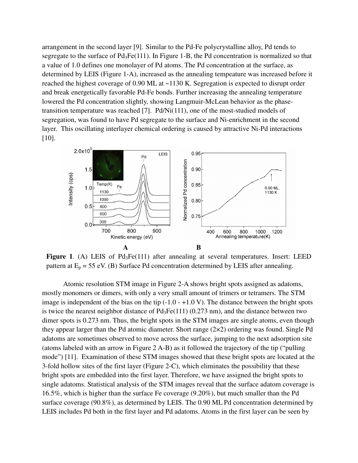arrangement in the second layer [9]. Similar to the Pd-Fe polycrystalline alloy, Pd tends to segregate to the surface of  $Pd_3Fe(111)$ . In Figure 1-B, the Pd concentration is normalized so that a value of 1.0 defines one monolayer of Pd atoms. The Pd concentration at the surface, as determined by LEIS (Figure 1-A), increased as the annealing tempeature was increased before it reached the highest coverage of 0.90 ML at ~1130 K. Segregation is expected to disrupt order and break energetically favorable Pd-Fe bonds. Further increasing the annealing temperature lowered the Pd concentration slightly, showing Langmuir-McLean behavior as the phasetransition temperature was reached [7]. Pd/Ni(111), one of the most-studied models of segregation, was found to have Pd segregate to the surface and Ni-enrichment in the second layer. This oscillating interlayer chemical ordering is caused by attractive Ni-Pd interactions [10].



**Figure 1.** (A) LEIS of Pd<sub>3</sub>Fe(111) after annealing at several temperatures. Insert: LEED pattern at  $E_p = 55$  eV. (B) Surface Pd concentration determined by LEIS after annealing.

Atomic resolution STM image in Figure 2-A shows bright spots assigned as adatoms, mostly monomers or dimers, with only a very small amount of trimers or tetramers. The STM image is independent of the bias on the tip  $(-1.0 - +1.0 V)$ . The distance between the bright spots is twice the nearest neighbor distance of  $Pd_3Fe(111)$  (0.273 nm), and the distance between two dimer spots is 0.273 nm. Thus, the bright spots in the STM images are single atoms, even though they appear larger than the Pd atomic diameter. Short range (2×2) ordering was found. Single Pd adatoms are sometimes observed to move across the surface, jumping to the next adsorption site (atoms labeled with an arrow in Figure 2 A-B) as it followed the trajectory of the tip ("pulling mode") [11]. Examination of these STM images showed that these bright spots are located at the 3-fold hollow sites of the first layer (Figure 2-C), which eliminates the possibility that these bright spots are embedded into the first layer. Therefore, we have assigned the bright spots to single adatoms. Statistical analysis of the STM images reveal that the surface adatom coverage is 16.5%, which is higher than the surface Fe coverage (9.20%), but much smaller than the Pd surface coverage (90.8%), as determined by LEIS. The 0.90 ML Pd concentration determined by LEIS includes Pd both in the first layer and Pd adatoms. Atoms in the first layer can be seen by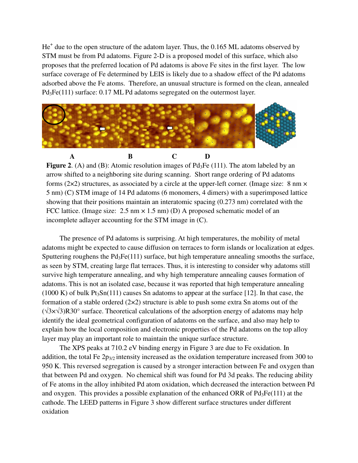He<sup>+</sup> due to the open structure of the adatom layer. Thus, the 0.165 ML adatoms observed by STM must be from Pd adatoms. Figure 2-D is a proposed model of this surface, which also proposes that the preferred location of Pd adatoms is above Fe sites in the first layer. The low surface coverage of Fe determined by LEIS is likely due to a shadow effect of the Pd adatoms adsorbed above the Fe atoms. Therefore, an unusual structure is formed on the clean, annealed Pd<sub>3</sub>Fe(111) surface: 0.17 ML Pd adatoms segregated on the outermost layer.



**Figure 2.** (A) and (B): Atomic resolution images of Pd<sub>3</sub>Fe (111). The atom labeled by an arrow shifted to a neighboring site during scanning. Short range ordering of Pd adatoms forms ( $2\times2$ ) structures, as associated by a circle at the upper-left corner. (Image size: 8 nm  $\times$ 5 nm) (C) STM image of 14 Pd adatoms (6 monomers, 4 dimers) with a superimposed lattice showing that their positions maintain an interatomic spacing (0.273 nm) correlated with the FCC lattice. (Image size:  $2.5 \text{ nm} \times 1.5 \text{ nm}$ ) (D) A proposed schematic model of an incomplete adlayer accounting for the STM image in (C).

The presence of Pd adatoms is surprising. At high temperatures, the mobility of metal adatoms might be expected to cause diffusion on terraces to form islands or localization at edges. Sputtering roughens the  $Pd_3Fe(111)$  surface, but high temperature annealing smooths the surface, as seen by STM, creating large flat terraces. Thus, it is interesting to consider why adatoms still survive high temperature annealing, and why high temperature annealing causes formation of adatoms. This is not an isolated case, because it was reported that high temperature annealing  $(1000 \text{ K})$  of bulk Pt<sub>3</sub>Sn(111) causes Sn adatoms to appear at the surface [12]. In that case, the formation of a stable ordered  $(2\times 2)$  structure is able to push some extra Sn atoms out of the (√3×√3)R30° surface. Theoretical calculations of the adsorption energy of adatoms may help identify the ideal geometrical configuration of adatoms on the surface, and also may help to explain how the local composition and electronic properties of the Pd adatoms on the top alloy layer may play an important role to maintain the unique surface structure.

The XPS peaks at 710.2 eV binding energy in Figure 3 are due to Fe oxidation. In addition, the total Fe  $2p_{3/2}$  intensity increased as the oxidation temperature increased from 300 to 950 K. This reversed segregation is caused by a stronger interaction between Fe and oxygen than that between Pd and oxygen. No chemical shift was found for Pd 3d peaks. The reducing ability of Fe atoms in the alloy inhibited Pd atom oxidation, which decreased the interaction between Pd and oxygen. This provides a possible explanation of the enhanced ORR of  $Pd_3Fe(111)$  at the cathode. The LEED patterns in Figure 3 show different surface structures under different oxidation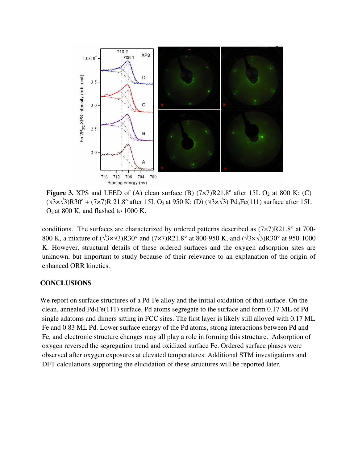

**Figure 3.** XPS and LEED of (A) clean surface (B)  $(7 \times 7)R21.8^\circ$  after 15L O<sub>2</sub> at 800 K; (C)  $(\sqrt{3} \times \sqrt{3})R30^\circ + (7 \times 7)R21.8^\circ$  after 15L O<sub>2</sub> at 950 K; (D)  $(\sqrt{3} \times \sqrt{3})Pd_3Fe(111)$  surface after 15L O2 at 800 K, and flashed to 1000 K.

conditions. The surfaces are characterized by ordered patterns described as (7×7)R21.8° at 700- 800 K, a mixture of (√3×√3)R30° and (7×7)R21.8° at 800-950 K, and (√3×√3)R30° at 950-1000 K. However, structural details of these ordered surfaces and the oxygen adsorption sites are unknown, but important to study because of their relevance to an explanation of the origin of enhanced ORR kinetics.

# **CONCLUSIONS**

We report on surface structures of a Pd-Fe alloy and the initial oxidation of that surface. On the clean, annealed Pd3Fe(111) surface, Pd atoms segregate to the surface and form 0.17 ML of Pd single adatoms and dimers sitting in FCC sites. The first layer is likely still alloyed with 0.17 ML Fe and 0.83 ML Pd. Lower surface energy of the Pd atoms, strong interactions between Pd and Fe, and electronic structure changes may all play a role in forming this structure. Adsorption of oxygen reversed the segregation trend and oxidized surface Fe. Ordered surface phases were observed after oxygen exposures at elevated temperatures. Additional STM investigations and DFT calculations supporting the elucidation of these structures will be reported later.